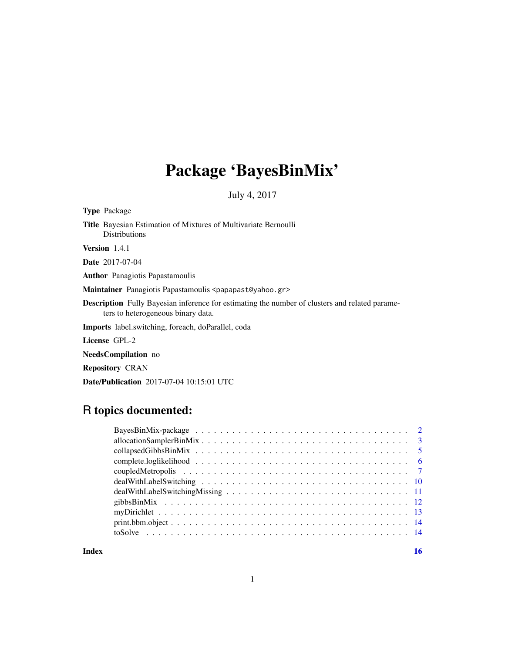## Package 'BayesBinMix'

July 4, 2017

| <b>Type Package</b>                                                                                                                         |
|---------------------------------------------------------------------------------------------------------------------------------------------|
| <b>Title</b> Bayesian Estimation of Mixtures of Multivariate Bernoulli<br><b>Distributions</b>                                              |
| <b>Version</b> $1.4.1$                                                                                                                      |
| <b>Date</b> 2017-07-04                                                                                                                      |
| <b>Author</b> Panagiotis Papastamoulis                                                                                                      |
| Maintainer Panagiotis Papastamoulis <papapast@yahoo.gr></papapast@yahoo.gr>                                                                 |
| <b>Description</b> Fully Bayesian inference for estimating the number of clusters and related parame-<br>ters to heterogeneous binary data. |
| <b>Imports</b> label.switching, foreach, doParallel, coda                                                                                   |
| License GPL-2                                                                                                                               |
| <b>NeedsCompilation</b> no                                                                                                                  |
| <b>Repository CRAN</b>                                                                                                                      |
| <b>Date/Publication</b> 2017-07-04 10:15:01 UTC                                                                                             |

## R topics documented:

**Index** and the contract of the contract of the contract of the contract of the contract of the contract of the contract of the contract of the contract of the contract of the contract of the contract of the contract of th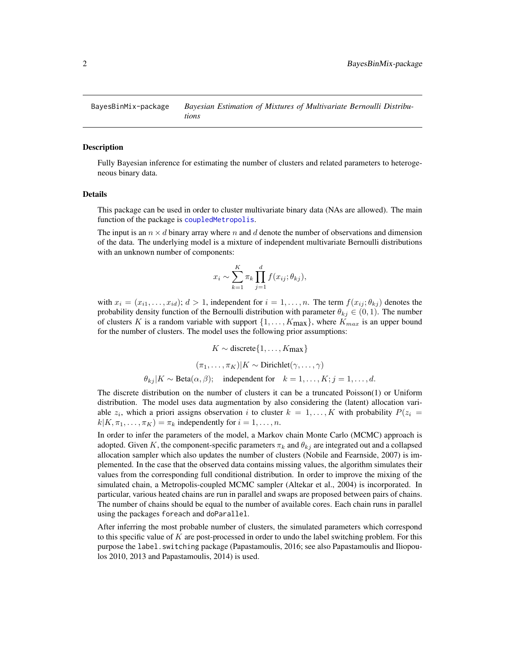<span id="page-1-0"></span>BayesBinMix-package *Bayesian Estimation of Mixtures of Multivariate Bernoulli Distributions*

#### **Description**

Fully Bayesian inference for estimating the number of clusters and related parameters to heterogeneous binary data.

#### Details

This package can be used in order to cluster multivariate binary data (NAs are allowed). The main function of the package is [coupledMetropolis](#page-6-1).

The input is an  $n \times d$  binary array where n and d denote the number of observations and dimension of the data. The underlying model is a mixture of independent multivariate Bernoulli distributions with an unknown number of components:

$$
x_i \sim \sum_{k=1}^K \pi_k \prod_{j=1}^d f(x_{ij}; \theta_{kj}),
$$

with  $x_i = (x_{i1}, \ldots, x_{id}); d > 1$ , independent for  $i = 1, \ldots, n$ . The term  $f(x_{ij}; \theta_{kj})$  denotes the probability density function of the Bernoulli distribution with parameter  $\theta_{kj} \in (0,1)$ . The number of clusters K is a random variable with support  $\{1, \ldots, K_{\text{max}}\}$ , where  $K_{max}$  is an upper bound for the number of clusters. The model uses the following prior assumptions:

$$
K \sim \text{discrete}\{1, \dots, K_{\text{max}}\}
$$

$$
(\pi_1, \dots, \pi_K)|K \sim \text{Dirichlet}(\gamma, \dots, \gamma)
$$

$$
\theta_{kj}|K \sim \text{Beta}(\alpha, \beta); \quad \text{independent for} \quad k = 1, \dots, K; j = 1, \dots, d.
$$

The discrete distribution on the number of clusters it can be a truncated Poisson(1) or Uniform distribution. The model uses data augmentation by also considering the (latent) allocation variable  $z_i$ , which a priori assigns observation i to cluster  $k = 1, ..., K$  with probability  $P(z_i =$  $k|K, \pi_1, \ldots, \pi_K) = \pi_k$  independently for  $i = 1, \ldots, n$ .

In order to infer the parameters of the model, a Markov chain Monte Carlo (MCMC) approach is adopted. Given K, the component-specific parameters  $\pi_k$  and  $\theta_{ki}$  are integrated out and a collapsed allocation sampler which also updates the number of clusters (Nobile and Fearnside, 2007) is implemented. In the case that the observed data contains missing values, the algorithm simulates their values from the corresponding full conditional distribution. In order to improve the mixing of the simulated chain, a Metropolis-coupled MCMC sampler (Altekar et al., 2004) is incorporated. In particular, various heated chains are run in parallel and swaps are proposed between pairs of chains. The number of chains should be equal to the number of available cores. Each chain runs in parallel using the packages foreach and doParallel.

After inferring the most probable number of clusters, the simulated parameters which correspond to this specific value of K are post-processed in order to undo the label switching problem. For this purpose the label.switching package (Papastamoulis, 2016; see also Papastamoulis and Iliopoulos 2010, 2013 and Papastamoulis, 2014) is used.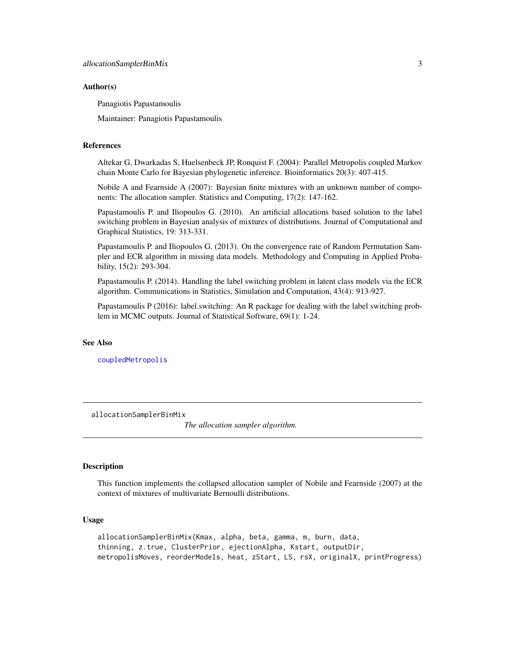#### <span id="page-2-0"></span>Author(s)

Panagiotis Papastamoulis

Maintainer: Panagiotis Papastamoulis

#### References

Altekar G, Dwarkadas S, Huelsenbeck JP, Ronquist F. (2004): Parallel Metropolis coupled Markov chain Monte Carlo for Bayesian phylogenetic inference. Bioinformatics 20(3): 407-415.

Nobile A and Fearnside A (2007): Bayesian finite mixtures with an unknown number of components: The allocation sampler. Statistics and Computing, 17(2): 147-162.

Papastamoulis P. and Iliopoulos G. (2010). An artificial allocations based solution to the label switching problem in Bayesian analysis of mixtures of distributions. Journal of Computational and Graphical Statistics, 19: 313-331.

Papastamoulis P. and Iliopoulos G. (2013). On the convergence rate of Random Permutation Sampler and ECR algorithm in missing data models. Methodology and Computing in Applied Probability, 15(2): 293-304.

Papastamoulis P. (2014). Handling the label switching problem in latent class models via the ECR algorithm. Communications in Statistics, Simulation and Computation, 43(4): 913-927.

Papastamoulis P (2016): label.switching: An R package for dealing with the label switching problem in MCMC outputs. Journal of Statistical Software, 69(1): 1-24.

#### See Also

[coupledMetropolis](#page-6-1)

allocationSamplerBinMix

*The allocation sampler algorithm.*

#### Description

This function implements the collapsed allocation sampler of Nobile and Fearnside (2007) at the context of mixtures of multivariate Bernoulli distributions.

#### Usage

allocationSamplerBinMix(Kmax, alpha, beta, gamma, m, burn, data, thinning, z.true, ClusterPrior, ejectionAlpha, Kstart, outputDir, metropolisMoves, reorderModels, heat, zStart, LS, rsX, originalX, printProgress)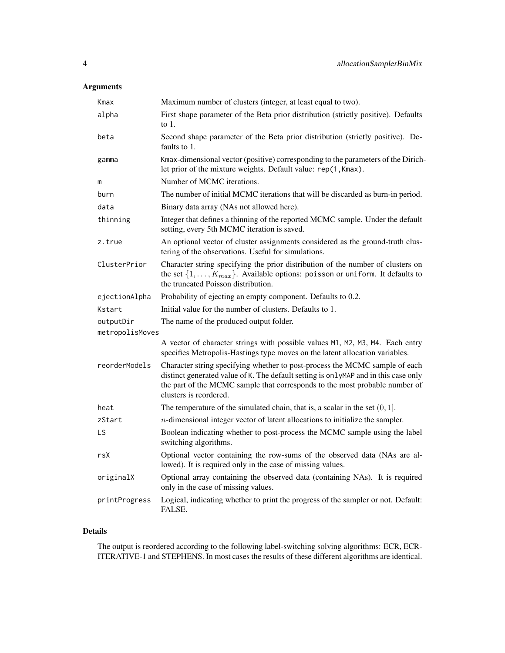## Arguments

| Kmax                         | Maximum number of clusters (integer, at least equal to two).                                                                                                                                                                                                                |
|------------------------------|-----------------------------------------------------------------------------------------------------------------------------------------------------------------------------------------------------------------------------------------------------------------------------|
| alpha                        | First shape parameter of the Beta prior distribution (strictly positive). Defaults<br>to $1$ .                                                                                                                                                                              |
| beta                         | Second shape parameter of the Beta prior distribution (strictly positive). De-<br>faults to 1.                                                                                                                                                                              |
| gamma                        | Kmax-dimensional vector (positive) corresponding to the parameters of the Dirich-<br>let prior of the mixture weights. Default value: rep(1,Kmax).                                                                                                                          |
| m                            | Number of MCMC iterations.                                                                                                                                                                                                                                                  |
| burn                         | The number of initial MCMC iterations that will be discarded as burn-in period.                                                                                                                                                                                             |
| data                         | Binary data array (NAs not allowed here).                                                                                                                                                                                                                                   |
| thinning                     | Integer that defines a thinning of the reported MCMC sample. Under the default<br>setting, every 5th MCMC iteration is saved.                                                                                                                                               |
| z.true                       | An optional vector of cluster assignments considered as the ground-truth clus-<br>tering of the observations. Useful for simulations.                                                                                                                                       |
| ClusterPrior                 | Character string specifying the prior distribution of the number of clusters on<br>the set $\{1, \ldots, K_{max}\}\$ . Available options: poisson or uniform. It defaults to<br>the truncated Poisson distribution.                                                         |
| ejectionAlpha                | Probability of ejecting an empty component. Defaults to 0.2.                                                                                                                                                                                                                |
| Kstart                       | Initial value for the number of clusters. Defaults to 1.                                                                                                                                                                                                                    |
| outputDir<br>metropolisMoves | The name of the produced output folder.                                                                                                                                                                                                                                     |
|                              | A vector of character strings with possible values M1, M2, M3, M4. Each entry<br>specifies Metropolis-Hastings type moves on the latent allocation variables.                                                                                                               |
| reorderModels                | Character string specifying whether to post-process the MCMC sample of each<br>distinct generated value of K. The default setting is onlyMAP and in this case only<br>the part of the MCMC sample that corresponds to the most probable number of<br>clusters is reordered. |
| heat                         | The temperature of the simulated chain, that is, a scalar in the set $(0, 1]$ .                                                                                                                                                                                             |
| zStart                       | $n$ -dimensional integer vector of latent allocations to initialize the sampler.                                                                                                                                                                                            |
| LS                           | Boolean indicating whether to post-process the MCMC sample using the label<br>switching algorithms.                                                                                                                                                                         |
| rsX                          | Optional vector containing the row-sums of the observed data (NAs are al-<br>lowed). It is required only in the case of missing values.                                                                                                                                     |
| originalX                    | Optional array containing the observed data (containing NAs). It is required<br>only in the case of missing values.                                                                                                                                                         |
| printProgress                | Logical, indicating whether to print the progress of the sampler or not. Default:<br>FALSE.                                                                                                                                                                                 |

## Details

The output is reordered according to the following label-switching solving algorithms: ECR, ECR-ITERATIVE-1 and STEPHENS. In most cases the results of these different algorithms are identical.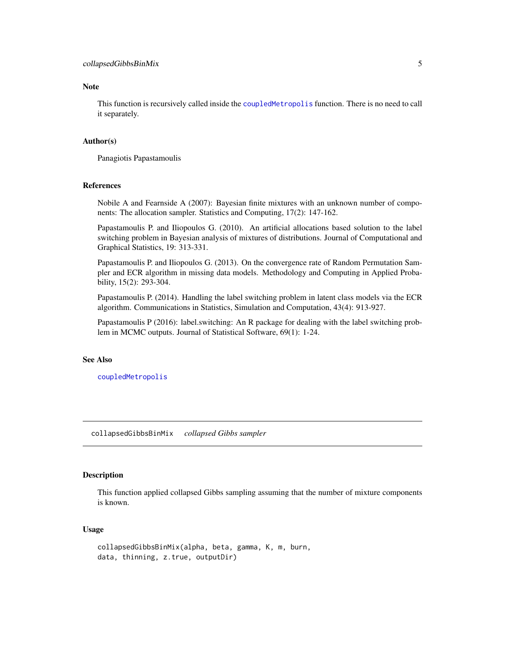#### <span id="page-4-0"></span>Note

This function is recursively called inside the [coupledMetropolis](#page-6-1) function. There is no need to call it separately.

#### Author(s)

Panagiotis Papastamoulis

#### References

Nobile A and Fearnside A (2007): Bayesian finite mixtures with an unknown number of components: The allocation sampler. Statistics and Computing, 17(2): 147-162.

Papastamoulis P. and Iliopoulos G. (2010). An artificial allocations based solution to the label switching problem in Bayesian analysis of mixtures of distributions. Journal of Computational and Graphical Statistics, 19: 313-331.

Papastamoulis P. and Iliopoulos G. (2013). On the convergence rate of Random Permutation Sampler and ECR algorithm in missing data models. Methodology and Computing in Applied Probability, 15(2): 293-304.

Papastamoulis P. (2014). Handling the label switching problem in latent class models via the ECR algorithm. Communications in Statistics, Simulation and Computation, 43(4): 913-927.

Papastamoulis P (2016): label.switching: An R package for dealing with the label switching problem in MCMC outputs. Journal of Statistical Software, 69(1): 1-24.

#### See Also

[coupledMetropolis](#page-6-1)

collapsedGibbsBinMix *collapsed Gibbs sampler*

## Description

This function applied collapsed Gibbs sampling assuming that the number of mixture components is known.

#### Usage

```
collapsedGibbsBinMix(alpha, beta, gamma, K, m, burn,
data, thinning, z.true, outputDir)
```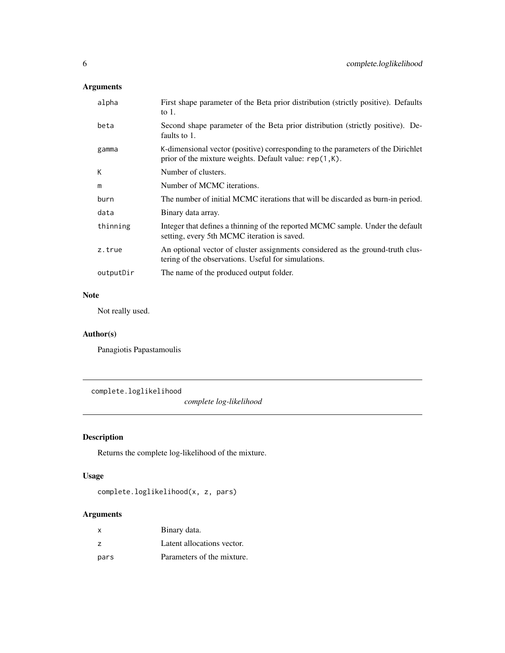## <span id="page-5-0"></span>Arguments

| alpha     | First shape parameter of the Beta prior distribution (strictly positive). Defaults<br>to $1$ .                                                |
|-----------|-----------------------------------------------------------------------------------------------------------------------------------------------|
| beta      | Second shape parameter of the Beta prior distribution (strictly positive). De-<br>faults to 1.                                                |
| gamma     | K-dimensional vector (positive) corresponding to the parameters of the Dirichlet<br>prior of the mixture weights. Default value: $rep(1,K)$ . |
| К         | Number of clusters.                                                                                                                           |
| m         | Number of MCMC iterations.                                                                                                                    |
| burn      | The number of initial MCMC iterations that will be discarded as burn-in period.                                                               |
| data      | Binary data array.                                                                                                                            |
| thinning  | Integer that defines a thinning of the reported MCMC sample. Under the default<br>setting, every 5th MCMC iteration is saved.                 |
| z.true    | An optional vector of cluster assignments considered as the ground-truth clus-<br>tering of the observations. Useful for simulations.         |
| outputDir | The name of the produced output folder.                                                                                                       |
|           |                                                                                                                                               |

## Note

Not really used.

## Author(s)

Panagiotis Papastamoulis

complete.loglikelihood

*complete log-likelihood*

## Description

Returns the complete log-likelihood of the mixture.

## Usage

complete.loglikelihood(x, z, pars)

## Arguments

| x              | Binary data.               |
|----------------|----------------------------|
| $\overline{z}$ | Latent allocations vector. |
| pars           | Parameters of the mixture. |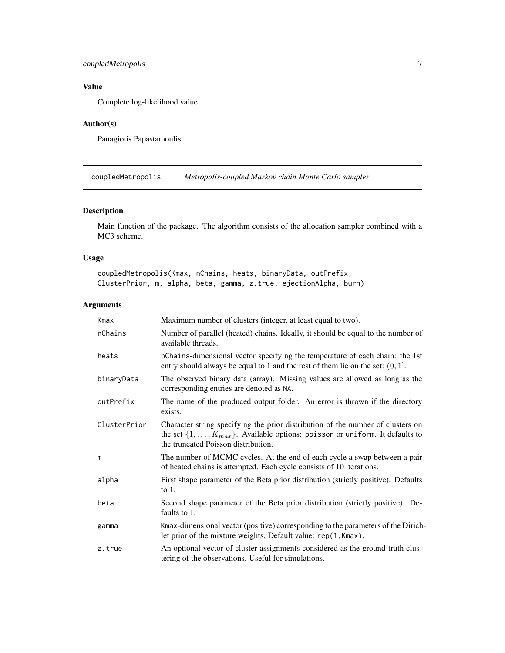## <span id="page-6-0"></span>coupledMetropolis 7

## Value

Complete log-likelihood value.

## Author(s)

Panagiotis Papastamoulis

<span id="page-6-1"></span>coupledMetropolis *Metropolis-coupled Markov chain Monte Carlo sampler*

## Description

Main function of the package. The algorithm consists of the allocation sampler combined with a MC3 scheme.

#### Usage

coupledMetropolis(Kmax, nChains, heats, binaryData, outPrefix, ClusterPrior, m, alpha, beta, gamma, z.true, ejectionAlpha, burn)

#### Arguments

| Kmax         | Maximum number of clusters (integer, at least equal to two).                                                                                                                                                        |
|--------------|---------------------------------------------------------------------------------------------------------------------------------------------------------------------------------------------------------------------|
| nChains      | Number of parallel (heated) chains. Ideally, it should be equal to the number of<br>available threads.                                                                                                              |
| heats        | nChains-dimensional vector specifying the temperature of each chain: the 1st<br>entry should always be equal to 1 and the rest of them lie on the set: $(0, 1]$ .                                                   |
| binaryData   | The observed binary data (array). Missing values are allowed as long as the<br>corresponding entries are denoted as NA.                                                                                             |
| outPrefix    | The name of the produced output folder. An error is thrown if the directory<br>exists.                                                                                                                              |
| ClusterPrior | Character string specifying the prior distribution of the number of clusters on<br>the set $\{1, \ldots, K_{max}\}\$ . Available options: poisson or uniform. It defaults to<br>the truncated Poisson distribution. |
| m            | The number of MCMC cycles. At the end of each cycle a swap between a pair<br>of heated chains is attempted. Each cycle consists of 10 iterations.                                                                   |
| alpha        | First shape parameter of the Beta prior distribution (strictly positive). Defaults<br>to $1$ .                                                                                                                      |
| beta         | Second shape parameter of the Beta prior distribution (strictly positive). De-<br>faults to 1.                                                                                                                      |
| gamma        | Kmax-dimensional vector (positive) corresponding to the parameters of the Dirich-<br>let prior of the mixture weights. Default value: rep(1,Kmax).                                                                  |
| z.true       | An optional vector of cluster assignments considered as the ground-truth clus-<br>tering of the observations. Useful for simulations.                                                                               |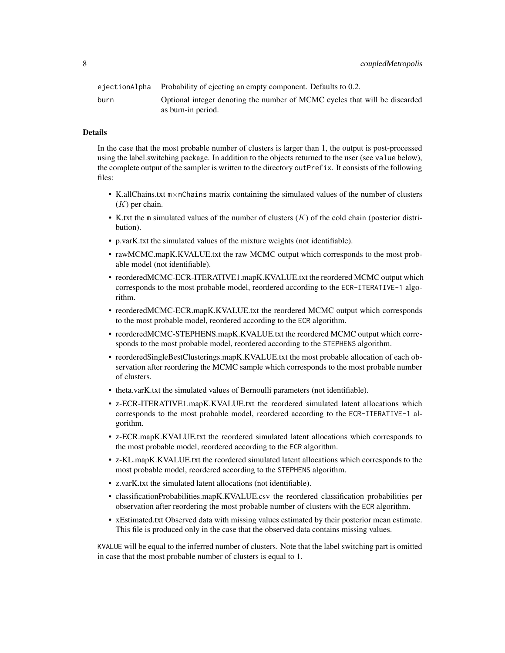|      | ejectionAlpha Probability of ejecting an empty component. Defaults to 0.2. |
|------|----------------------------------------------------------------------------|
| burn | Optional integer denoting the number of MCMC cycles that will be discarded |
|      | as burn-in period.                                                         |

#### Details

In the case that the most probable number of clusters is larger than 1, the output is post-processed using the label.switching package. In addition to the objects returned to the user (see value below), the complete output of the sampler is written to the directory outPrefix. It consists of the following files:

- K.allChains.txt m×nChains matrix containing the simulated values of the number of clusters  $(K)$  per chain.
- K.txt the m simulated values of the number of clusters  $(K)$  of the cold chain (posterior distribution).
- p.varK.txt the simulated values of the mixture weights (not identifiable).
- rawMCMC.mapK.KVALUE.txt the raw MCMC output which corresponds to the most probable model (not identifiable).
- reorderedMCMC-ECR-ITERATIVE1.mapK.KVALUE.txt the reordered MCMC output which corresponds to the most probable model, reordered according to the ECR-ITERATIVE-1 algorithm.
- reorderedMCMC-ECR.mapK.KVALUE.txt the reordered MCMC output which corresponds to the most probable model, reordered according to the ECR algorithm.
- reorderedMCMC-STEPHENS.mapK.KVALUE.txt the reordered MCMC output which corresponds to the most probable model, reordered according to the STEPHENS algorithm.
- reorderedSingleBestClusterings.mapK.KVALUE.txt the most probable allocation of each observation after reordering the MCMC sample which corresponds to the most probable number of clusters.
- theta.varK.txt the simulated values of Bernoulli parameters (not identifiable).
- z-ECR-ITERATIVE1.mapK.KVALUE.txt the reordered simulated latent allocations which corresponds to the most probable model, reordered according to the ECR-ITERATIVE-1 algorithm.
- z-ECR.mapK.KVALUE.txt the reordered simulated latent allocations which corresponds to the most probable model, reordered according to the ECR algorithm.
- z-KL.mapK.KVALUE.txt the reordered simulated latent allocations which corresponds to the most probable model, reordered according to the STEPHENS algorithm.
- z.varK.txt the simulated latent allocations (not identifiable).
- classificationProbabilities.mapK.KVALUE.csv the reordered classification probabilities per observation after reordering the most probable number of clusters with the ECR algorithm.
- xEstimated.txt Observed data with missing values estimated by their posterior mean estimate. This file is produced only in the case that the observed data contains missing values.

KVALUE will be equal to the inferred number of clusters. Note that the label switching part is omitted in case that the most probable number of clusters is equal to 1.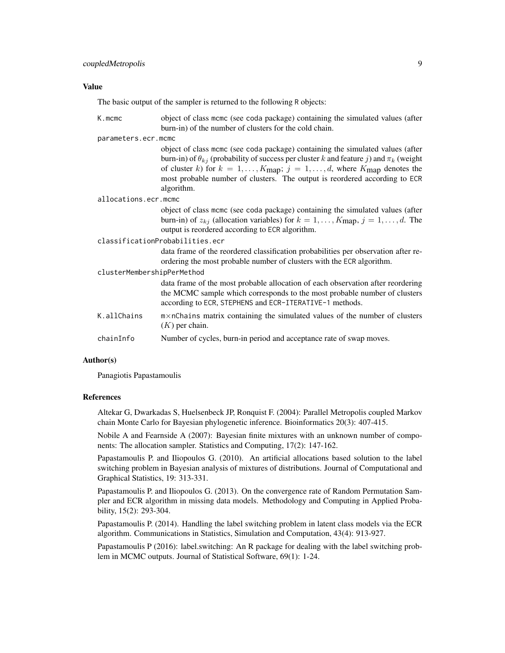#### Value

The basic output of the sampler is returned to the following R objects:

| $K$ . mcmc                      | object of class mcmc (see coda package) containing the simulated values (after<br>burn-in) of the number of clusters for the cold chain.                                                                                                                                                                                                                                            |  |
|---------------------------------|-------------------------------------------------------------------------------------------------------------------------------------------------------------------------------------------------------------------------------------------------------------------------------------------------------------------------------------------------------------------------------------|--|
| parameters.ecr.mcmc             |                                                                                                                                                                                                                                                                                                                                                                                     |  |
|                                 | object of class mcmc (see coda package) containing the simulated values (after<br>burn-in) of $\theta_{kj}$ (probability of success per cluster k and feature j) and $\pi_k$ (weight<br>of cluster k) for $k = 1, , K_{\text{map}}$ ; $j = 1, , d$ , where $K_{\text{map}}$ denotes the<br>most probable number of clusters. The output is reordered according to ECR<br>algorithm. |  |
| allocations.ecr.mcmc            |                                                                                                                                                                                                                                                                                                                                                                                     |  |
|                                 | object of class mcmc (see coda package) containing the simulated values (after<br>burn-in) of $z_{kj}$ (allocation variables) for $k = 1, , K_{\text{map}}, j = 1, , d$ . The<br>output is reordered according to ECR algorithm.                                                                                                                                                    |  |
| classificationProbabilities.ecr |                                                                                                                                                                                                                                                                                                                                                                                     |  |
|                                 | data frame of the reordered classification probabilities per observation after re-<br>ordering the most probable number of clusters with the ECR algorithm.                                                                                                                                                                                                                         |  |
| clusterMembershipPerMethod      |                                                                                                                                                                                                                                                                                                                                                                                     |  |
|                                 | data frame of the most probable allocation of each observation after reordering<br>the MCMC sample which corresponds to the most probable number of clusters<br>according to ECR, STEPHENS and ECR-ITERATIVE-1 methods.                                                                                                                                                             |  |
| K.allChains                     | m×nChains matrix containing the simulated values of the number of clusters<br>$(K)$ per chain.                                                                                                                                                                                                                                                                                      |  |
| chainInfo                       | Number of cycles, burn-in period and acceptance rate of swap moves.                                                                                                                                                                                                                                                                                                                 |  |

#### Author(s)

Panagiotis Papastamoulis

#### References

Altekar G, Dwarkadas S, Huelsenbeck JP, Ronquist F. (2004): Parallel Metropolis coupled Markov chain Monte Carlo for Bayesian phylogenetic inference. Bioinformatics 20(3): 407-415.

Nobile A and Fearnside A (2007): Bayesian finite mixtures with an unknown number of components: The allocation sampler. Statistics and Computing, 17(2): 147-162.

Papastamoulis P. and Iliopoulos G. (2010). An artificial allocations based solution to the label switching problem in Bayesian analysis of mixtures of distributions. Journal of Computational and Graphical Statistics, 19: 313-331.

Papastamoulis P. and Iliopoulos G. (2013). On the convergence rate of Random Permutation Sampler and ECR algorithm in missing data models. Methodology and Computing in Applied Probability, 15(2): 293-304.

Papastamoulis P. (2014). Handling the label switching problem in latent class models via the ECR algorithm. Communications in Statistics, Simulation and Computation, 43(4): 913-927.

Papastamoulis P (2016): label.switching: An R package for dealing with the label switching problem in MCMC outputs. Journal of Statistical Software, 69(1): 1-24.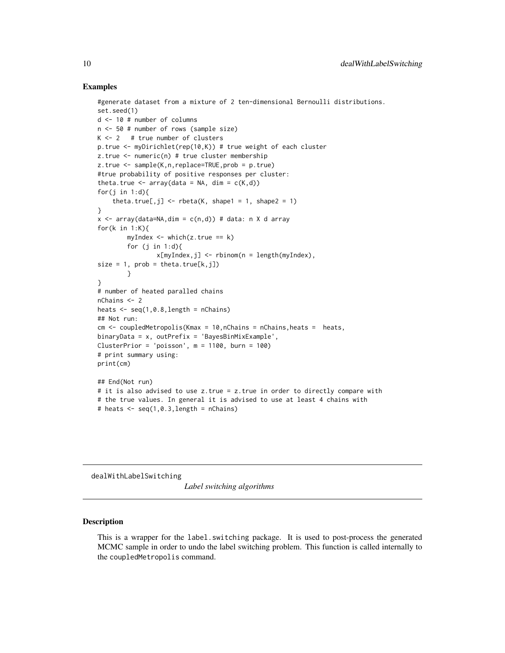#### Examples

```
#generate dataset from a mixture of 2 ten-dimensional Bernoulli distributions.
set.seed(1)
d <- 10 # number of columns
n <- 50 # number of rows (sample size)
K < -2 # true number of clusters
p.true <- myDirichlet(rep(10,K)) # true weight of each cluster
z.true <- numeric(n) # true cluster membership
z.true <- sample(K,n,replace=TRUE,prob = p.true)
#true probability of positive responses per cluster:
theta.true \leq array(data = NA, dim = c(K,d))
for(i in 1:d){
    theta.true[,j] <- rbeta(K, shape1 = 1, shape2 = 1)
}
x \le - array(data=NA,dim = c(n,d)) # data: n X d array
for(k in 1:K){
        myIndex \leq which(z,true == k)for (j in 1:dx[myIndex,j] <- rbinom(n = length(myIndex),
size = 1, prob = theta,true[k, j])}
}
# number of heated paralled chains
nChains <- 2
heats \leq seq(1,0.8, length = nChains)
## Not run:
cm < - coupledMetropolis(Kmax = 10, nChains = nChains, heats = heats,
binaryData = x, outPrefix = 'BayesBinMixExample',
ClusterPrior = 'poisson', m = 1100, burn = 100)
# print summary using:
print(cm)
## End(Not run)
# it is also advised to use z.true = z.true in order to directly compare with
# the true values. In general it is advised to use at least 4 chains with
# heats \leq seq(1,0.3, length = nChains)
```
dealWithLabelSwitching

*Label switching algorithms*

#### Description

This is a wrapper for the label. switching package. It is used to post-process the generated MCMC sample in order to undo the label switching problem. This function is called internally to the coupledMetropolis command.

<span id="page-9-0"></span>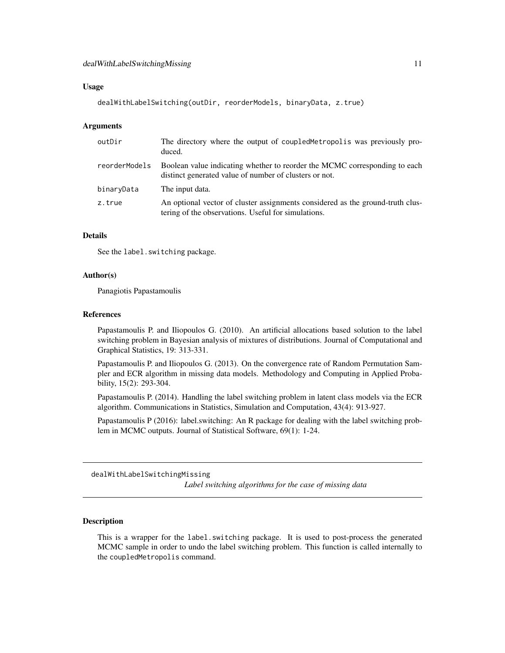#### <span id="page-10-0"></span>Usage

```
dealWithLabelSwitching(outDir, reorderModels, binaryData, z.true)
```
#### Arguments

| outDir        | The directory where the output of coupled Metropolis was previously pro-<br>duced.                                                    |
|---------------|---------------------------------------------------------------------------------------------------------------------------------------|
| reorderModels | Boolean value indicating whether to reorder the MCMC corresponding to each<br>distinct generated value of number of clusters or not.  |
| binaryData    | The input data.                                                                                                                       |
| z.true        | An optional vector of cluster assignments considered as the ground-truth clus-<br>tering of the observations. Useful for simulations. |

#### Details

See the label.switching package.

#### Author(s)

Panagiotis Papastamoulis

#### References

Papastamoulis P. and Iliopoulos G. (2010). An artificial allocations based solution to the label switching problem in Bayesian analysis of mixtures of distributions. Journal of Computational and Graphical Statistics, 19: 313-331.

Papastamoulis P. and Iliopoulos G. (2013). On the convergence rate of Random Permutation Sampler and ECR algorithm in missing data models. Methodology and Computing in Applied Probability, 15(2): 293-304.

Papastamoulis P. (2014). Handling the label switching problem in latent class models via the ECR algorithm. Communications in Statistics, Simulation and Computation, 43(4): 913-927.

Papastamoulis P (2016): label.switching: An R package for dealing with the label switching problem in MCMC outputs. Journal of Statistical Software, 69(1): 1-24.

dealWithLabelSwitchingMissing

*Label switching algorithms for the case of missing data*

#### **Description**

This is a wrapper for the label.switching package. It is used to post-process the generated MCMC sample in order to undo the label switching problem. This function is called internally to the coupledMetropolis command.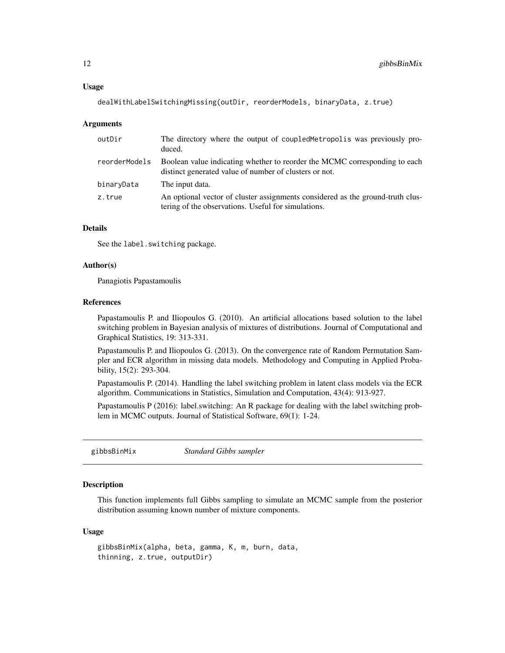<span id="page-11-0"></span>dealWithLabelSwitchingMissing(outDir, reorderModels, binaryData, z.true)

#### **Arguments**

| outDir        | The directory where the output of coupled Metropolis was previously pro-<br>duced.                                                    |
|---------------|---------------------------------------------------------------------------------------------------------------------------------------|
| reorderModels | Boolean value indicating whether to reorder the MCMC corresponding to each<br>distinct generated value of number of clusters or not.  |
| binaryData    | The input data.                                                                                                                       |
| z.true        | An optional vector of cluster assignments considered as the ground-truth clus-<br>tering of the observations. Useful for simulations. |

#### Details

See the label.switching package.

#### Author(s)

Panagiotis Papastamoulis

#### References

Papastamoulis P. and Iliopoulos G. (2010). An artificial allocations based solution to the label switching problem in Bayesian analysis of mixtures of distributions. Journal of Computational and Graphical Statistics, 19: 313-331.

Papastamoulis P. and Iliopoulos G. (2013). On the convergence rate of Random Permutation Sampler and ECR algorithm in missing data models. Methodology and Computing in Applied Probability, 15(2): 293-304.

Papastamoulis P. (2014). Handling the label switching problem in latent class models via the ECR algorithm. Communications in Statistics, Simulation and Computation, 43(4): 913-927.

Papastamoulis P (2016): label.switching: An R package for dealing with the label switching problem in MCMC outputs. Journal of Statistical Software, 69(1): 1-24.

gibbsBinMix *Standard Gibbs sampler*

## **Description**

This function implements full Gibbs sampling to simulate an MCMC sample from the posterior distribution assuming known number of mixture components.

#### Usage

```
gibbsBinMix(alpha, beta, gamma, K, m, burn, data,
thinning, z.true, outputDir)
```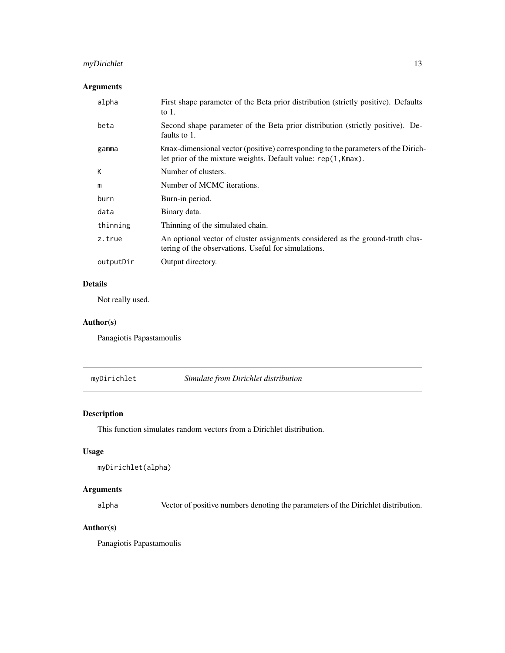## <span id="page-12-0"></span>myDirichlet 13

## Arguments

| alpha     | First shape parameter of the Beta prior distribution (strictly positive). Defaults<br>to $1$ .                                                     |
|-----------|----------------------------------------------------------------------------------------------------------------------------------------------------|
| beta      | Second shape parameter of the Beta prior distribution (strictly positive). De-<br>faults to 1.                                                     |
| gamma     | Kmax-dimensional vector (positive) corresponding to the parameters of the Dirich-<br>let prior of the mixture weights. Default value: rep(1,Kmax). |
| К         | Number of clusters.                                                                                                                                |
| m         | Number of MCMC iterations.                                                                                                                         |
| burn      | Burn-in period.                                                                                                                                    |
| data      | Binary data.                                                                                                                                       |
| thinning  | Thinning of the simulated chain.                                                                                                                   |
| z.true    | An optional vector of cluster assignments considered as the ground-truth clus-<br>tering of the observations. Useful for simulations.              |
| outputDir | Output directory.                                                                                                                                  |

## Details

Not really used.

#### Author(s)

Panagiotis Papastamoulis

#### myDirichlet *Simulate from Dirichlet distribution*

## Description

This function simulates random vectors from a Dirichlet distribution.

## Usage

```
myDirichlet(alpha)
```
## Arguments

alpha Vector of positive numbers denoting the parameters of the Dirichlet distribution.

## Author(s)

Panagiotis Papastamoulis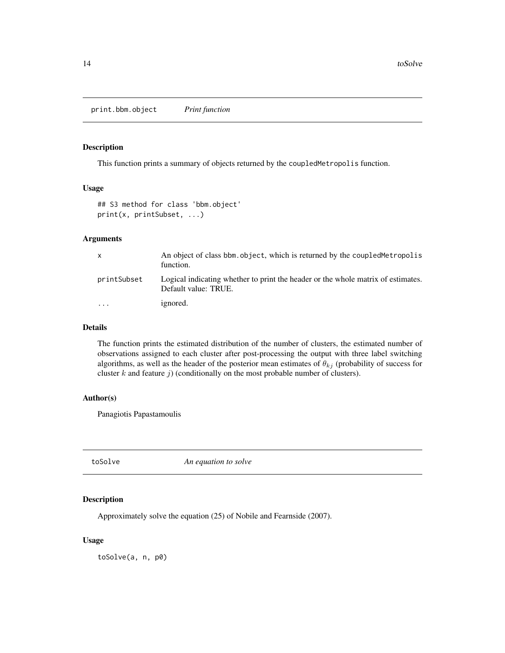<span id="page-13-0"></span>print.bbm.object *Print function*

#### Description

This function prints a summary of objects returned by the coupledMetropolis function.

#### Usage

```
## S3 method for class 'bbm.object'
print(x, printSubset, ...)
```
#### Arguments

| X           | An object of class bbm, object, which is returned by the coupled Metropolis<br>function.                 |
|-------------|----------------------------------------------------------------------------------------------------------|
| printSubset | Logical indicating whether to print the header or the whole matrix of estimates.<br>Default value: TRUE. |
| $\cdots$    | ignored.                                                                                                 |

#### Details

The function prints the estimated distribution of the number of clusters, the estimated number of observations assigned to each cluster after post-processing the output with three label switching algorithms, as well as the header of the posterior mean estimates of  $\theta_{kj}$  (probability of success for cluster  $k$  and feature  $j$ ) (conditionally on the most probable number of clusters).

#### Author(s)

Panagiotis Papastamoulis

toSolve *An equation to solve*

#### Description

Approximately solve the equation (25) of Nobile and Fearnside (2007).

#### Usage

toSolve(a, n, p0)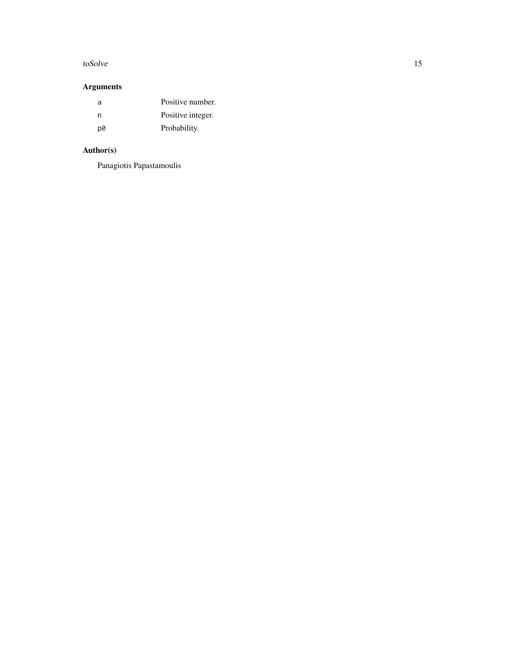#### toSolve 15

## Arguments

| a  | Positive number.  |
|----|-------------------|
| n  | Positive integer. |
| p0 | Probability.      |

## Author(s)

Panagiotis Papastamoulis